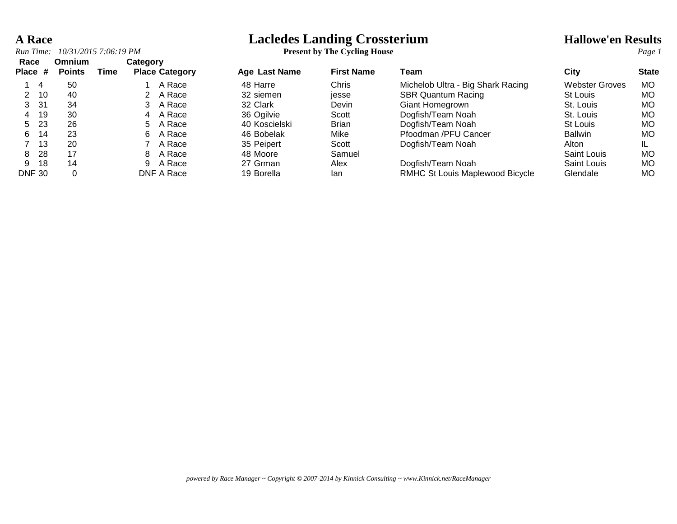## **A Race Lacledes Landing Crossterium Hallowe'en Results**

| Run Time:       | 10/31/2015 7:06:19 PM   |                  |                       | <b>Present by The Cycling House</b> |                   |                                   | Page 1                |              |
|-----------------|-------------------------|------------------|-----------------------|-------------------------------------|-------------------|-----------------------------------|-----------------------|--------------|
| Race<br>Place # | Omnium<br><b>Points</b> | Category<br>Time | <b>Place Category</b> | <b>Age Last Name</b>                | <b>First Name</b> | Team                              | City                  | <b>State</b> |
| 14              | 50                      |                  | A Race                | 48 Harre                            | Chris             | Michelob Ultra - Big Shark Racing | <b>Webster Groves</b> | MO.          |
| - 10            | 40                      |                  | A Race                | 32 siemen                           | jesse             | <b>SBR Quantum Racing</b>         | St Louis              | MO           |
| 31<br>3.        | 34                      |                  | A Race                | 32 Clark                            | Devin             | Giant Homegrown                   | St. Louis             | MO           |
| -19<br>4        | 30                      | 4                | A Race                | 36 Ogilvie                          | Scott             | Dogfish/Team Noah                 | St. Louis             | MO           |
| 23<br>5.        | 26                      | 5.               | A Race                | 40 Koscielski                       | <b>Brian</b>      | Dogfish/Team Noah                 | St Louis              | MO           |
| 14<br>6.        | 23                      | 6.               | A Race                | 46 Bobelak                          | Mike              | Pfoodman /PFU Cancer              | <b>Ballwin</b>        | MO           |
| -13             | 20                      |                  | A Race                | 35 Peipert                          | Scott             | Dogfish/Team Noah                 | Alton                 | IL           |
| -28<br>8        | 17                      | 8                | A Race                | 48 Moore                            | Samuel            |                                   | Saint Louis           | MO           |
| -18<br>9.       | 14                      | 9                | A Race                | 27 Grman                            | Alex              | Dogfish/Team Noah                 | Saint Louis           | MO           |
| <b>DNF 30</b>   | 0                       |                  | DNF A Race            | 19 Borella                          | lan               | RMHC St Louis Maplewood Bicycle   | Glendale              | MO           |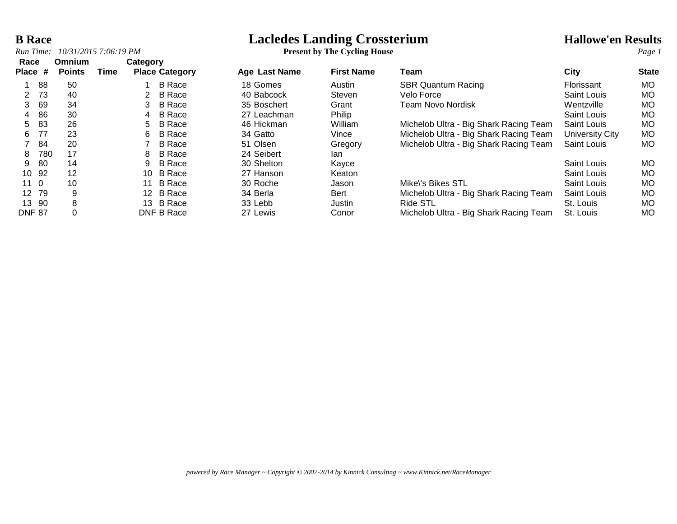# **B Race**<br> **Lacledes Landing Crossterium**<br> **Present by The Cycling House**<br> **Present by The Cycling House**

*Run Time: 10/31/2015 7:06:19 PM* **Present by The Cycling House** *Page 1*

| Race<br><b>Place</b> | #   | <b>Omnium</b><br><b>Points</b> | Time | Category        | <b>Place Category</b> | Age Last Name | <b>First Name</b> | Team                                   | <b>City</b>        | <b>State</b> |
|----------------------|-----|--------------------------------|------|-----------------|-----------------------|---------------|-------------------|----------------------------------------|--------------------|--------------|
|                      |     |                                |      |                 |                       |               |                   |                                        |                    |              |
|                      | 88  | 50                             |      |                 | <b>B</b> Race         | 18 Gomes      | Austin            | <b>SBR Quantum Racing</b>              | Florissant         | МO           |
|                      | 73  | 40                             |      |                 | <b>B</b> Race         | 40 Babcock    | Steven            | Velo Force                             | Saint Louis        | <b>MO</b>    |
| 3                    | 69  | 34                             |      | 3               | <b>B</b> Race         | 35 Boschert   | Grant             | Team Novo Nordisk                      | Wentzville         | <b>MO</b>    |
| 4                    | 86  | 30                             |      | 4               | <b>B</b> Race         | 27 Leachman   | Philip            |                                        | Saint Louis        | <b>MO</b>    |
| 5                    | 83  | 26                             |      | 5.              | <b>B</b> Race         | 46 Hickman    | William           | Michelob Ultra - Big Shark Racing Team | Saint Louis        | MO           |
| 6                    | 77  | 23                             |      | 6               | <b>B</b> Race         | 34 Gatto      | Vince             | Michelob Ultra - Big Shark Racing Team | University City    | <b>MO</b>    |
|                      | 84  | 20                             |      |                 | <b>B</b> Race         | 51 Olsen      | Gregory           | Michelob Ultra - Big Shark Racing Team | Saint Louis        | МO           |
| 8                    | 780 | 17                             |      | 8               | <b>B</b> Race         | 24 Seibert    | lan               |                                        |                    |              |
| 9                    | 80  | 14                             |      | 9               | <b>B</b> Race         | 30 Shelton    | Kayce             |                                        | Saint Louis        | <b>MO</b>    |
| 10                   | 92  | 12                             |      | 10              | <b>B</b> Race         | 27 Hanson     | Keaton            |                                        | <b>Saint Louis</b> | <b>MO</b>    |
| 11 <sub>0</sub>      |     | 10                             |      | 11              | <b>B</b> Race         | 30 Roche      | Jason             | Mike\'s Bikes STL                      | Saint Louis        | <b>MO</b>    |
| 12 <sup>°</sup>      | 79  | 9                              |      | 12 <sup>7</sup> | <b>B</b> Race         | 34 Berla      | <b>Bert</b>       | Michelob Ultra - Big Shark Racing Team | Saint Louis        | MO           |
| 13                   | -90 | 8                              |      | 13              | B Race                | 33 Lebb       | Justin            | <b>Ride STL</b>                        | St. Louis          | <b>MO</b>    |
| <b>DNF 87</b>        |     |                                |      |                 | DNF B Race            | 27 Lewis      | Conor             | Michelob Ultra - Big Shark Racing Team | St. Louis          | МO           |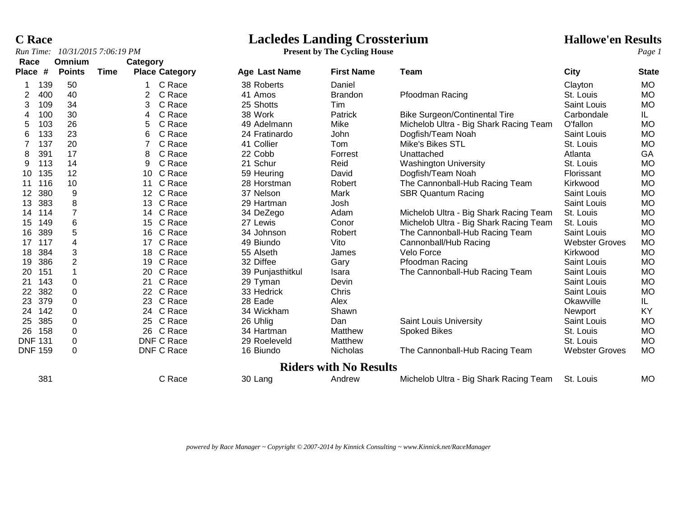**C Race Lacledes Landing Crossterium Hallowe'en Results**

*Run Time: 10/31/2015 7:06:19 PM* **Present by The Cycling House** *Page 1*

| Race<br><b>Place</b> | #   | Omnium<br><b>Points</b> | Time | Category        | <b>Place Category</b> | Age Last Name    | <b>First Name</b>             | Team                                   | City                  | <b>State</b> |
|----------------------|-----|-------------------------|------|-----------------|-----------------------|------------------|-------------------------------|----------------------------------------|-----------------------|--------------|
|                      | 139 | 50                      |      |                 | C Race                | 38 Roberts       | Daniel                        |                                        | Clayton               | <b>MO</b>    |
|                      | 400 | 40                      |      |                 | C Race                | 41 Amos          | <b>Brandon</b>                | Pfoodman Racing                        | St. Louis             | <b>MO</b>    |
| 3                    | 109 | 34                      |      | 3               | C Race                | 25 Shotts        | Tim                           |                                        | Saint Louis           | <b>MO</b>    |
|                      | 100 | 30                      |      | 4               | C Race                | 38 Work          | Patrick                       | <b>Bike Surgeon/Continental Tire</b>   | Carbondale            | IL.          |
| 5                    | 103 | 26                      |      | 5               | C Race                | 49 Adelmann      | Mike                          | Michelob Ultra - Big Shark Racing Team | O'fallon              | <b>MO</b>    |
| 6                    | 133 | 23                      |      | 6               | C Race                | 24 Fratinardo    | John                          | Dogfish/Team Noah                      | Saint Louis           | <b>MO</b>    |
|                      | 137 | 20                      |      |                 | C Race                | 41 Collier       | Tom                           | Mike's Bikes STL                       | St. Louis             | <b>MO</b>    |
| 8                    | 391 | 17                      |      | 8               | C Race                | 22 Cobb          | Forrest                       | Unattached                             | Atlanta               | GA           |
| 9                    | 113 | 14                      |      | 9               | C Race                | 21 Schur         | Reid                          | <b>Washington University</b>           | St. Louis             | <b>MO</b>    |
| 10                   | 135 | 12                      |      | 10              | C Race                | 59 Heuring       | David                         | Dogfish/Team Noah                      | Florissant            | <b>MO</b>    |
| 11                   | 116 | 10                      |      | 11              | C Race                | 28 Horstman      | Robert                        | The Cannonball-Hub Racing Team         | Kirkwood              | <b>MO</b>    |
| 12                   | 380 | 9                       |      | 12 <sup>°</sup> | C Race                | 37 Nelson        | Mark                          | <b>SBR Quantum Racing</b>              | Saint Louis           | <b>MO</b>    |
| 13                   | 383 | 8                       |      | 13              | C Race                | 29 Hartman       | Josh                          |                                        | Saint Louis           | <b>MO</b>    |
| 14                   | 114 |                         |      | 14              | C Race                | 34 DeZego        | Adam                          | Michelob Ultra - Big Shark Racing Team | St. Louis             | <b>MO</b>    |
| 15                   | 149 | 6                       |      | 15              | C Race                | 27 Lewis         | Conor                         | Michelob Ultra - Big Shark Racing Team | St. Louis             | <b>MO</b>    |
| 16                   | 389 | 5                       |      | 16              | C Race                | 34 Johnson       | Robert                        | The Cannonball-Hub Racing Team         | Saint Louis           | <b>MO</b>    |
| 17                   | 117 | 4                       |      | 17              | C Race                | 49 Biundo        | Vito                          | Cannonball/Hub Racing                  | <b>Webster Groves</b> | <b>MO</b>    |
| 18                   | 384 | 3                       |      | 18              | C Race                | 55 Alseth        | James                         | Velo Force                             | Kirkwood              | <b>MO</b>    |
| 19                   | 386 | $\overline{2}$          |      | 19              | C Race                | 32 Diffee        | Gary                          | <b>Pfoodman Racing</b>                 | <b>Saint Louis</b>    | <b>MO</b>    |
| 20                   | 151 |                         |      | 20              | C Race                | 39 Punjasthitkul | Isara                         | The Cannonball-Hub Racing Team         | Saint Louis           | <b>MO</b>    |
| 21                   | 143 | $\mathbf 0$             |      | 21              | C Race                | 29 Tyman         | Devin                         |                                        | Saint Louis           | <b>MO</b>    |
| 22                   | 382 | 0                       |      | 22              | C Race                | 33 Hedrick       | Chris                         |                                        | Saint Louis           | <b>MO</b>    |
| 23                   | 379 | 0                       |      | 23.             | C Race                | 28 Eade          | Alex                          |                                        | Okawville             | IL.          |
| 24                   | 142 | 0                       |      | 24              | C Race                | 34 Wickham       | Shawn                         |                                        | Newport               | KY           |
| 25                   | 385 | $\mathbf 0$             |      | 25              | C Race                | 26 Uhlig         | Dan                           | <b>Saint Louis University</b>          | Saint Louis           | <b>MO</b>    |
| 26                   | 158 | $\Omega$                |      | 26              | C Race                | 34 Hartman       | Matthew                       | <b>Spoked Bikes</b>                    | St. Louis             | <b>MO</b>    |
| <b>DNF 131</b>       |     | 0                       |      |                 | DNF C Race            | 29 Roeleveld     | Matthew                       |                                        | St. Louis             | <b>MO</b>    |
| <b>DNF 159</b>       |     | 0                       |      |                 | DNF C Race            | 16 Biundo        | Nicholas                      | The Cannonball-Hub Racing Team         | <b>Webster Groves</b> | <b>MO</b>    |
|                      |     |                         |      |                 |                       |                  | <b>Riders with No Results</b> |                                        |                       |              |
|                      | 381 |                         |      |                 | C Race                | 30 Lang          | Andrew                        | Michelob Ultra - Big Shark Racing Team | St. Louis             | <b>MO</b>    |

*powered by Race Manager ~ Copyright © 2007-2014 by Kinnick Consulting ~ www.Kinnick.net/RaceManager*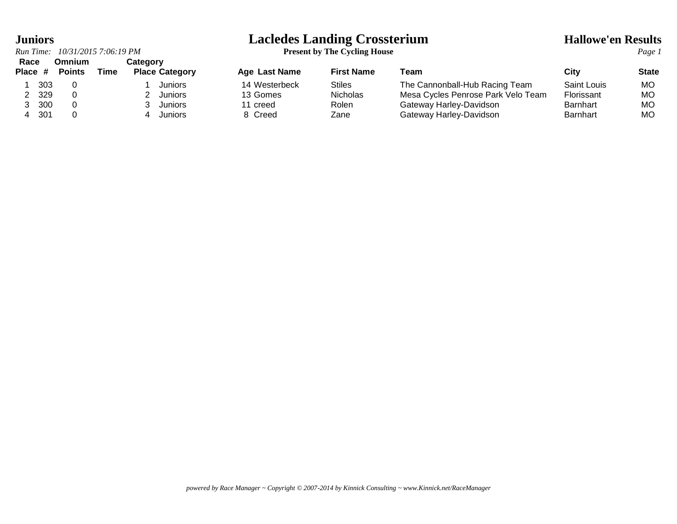## *Run Time: 10/31/2015 7:06:19 PM* **Present by The Cycling House** *Page 1*

|                      | Race Omnium         | Category |                       |
|----------------------|---------------------|----------|-----------------------|
|                      | Place # Points Time |          | <b>Place Category</b> |
| 1 303                |                     |          | 1 Juniors             |
| 2 329                |                     |          | 2 Juniors             |
| 3, 300               |                     |          | 3 Juniors             |
| $\sim$ $\sim$ $\sim$ |                     |          | $\blacksquare$        |

## **Juniors Lacledes Landing Crossterium Hallowe'en Results**

| Race<br>Place # |     | omnium<br><b>Points</b> | Time | category<br><b>Place Category</b> | Age Last Name | <b>First Name</b> | Team                               | City               | <b>State</b> |
|-----------------|-----|-------------------------|------|-----------------------------------|---------------|-------------------|------------------------------------|--------------------|--------------|
|                 | 303 |                         |      | Juniors                           | 14 Westerbeck | Stiles            | The Cannonball-Hub Racing Team     | <b>Saint Louis</b> | МO           |
|                 | 329 |                         |      | <b>Juniors</b>                    | 13 Gomes      | <b>Nicholas</b>   | Mesa Cycles Penrose Park Velo Team | Florissant         | МO           |
|                 | 300 |                         |      | <b>Juniors</b>                    | l creed       | Rolen             | Gateway Harley-Davidson            | Barnhart           | MO           |
|                 | 301 |                         |      | Juniors                           | 8 Creed       | Zane              | Gateway Harley-Davidson            | <b>Barnhart</b>    | МO           |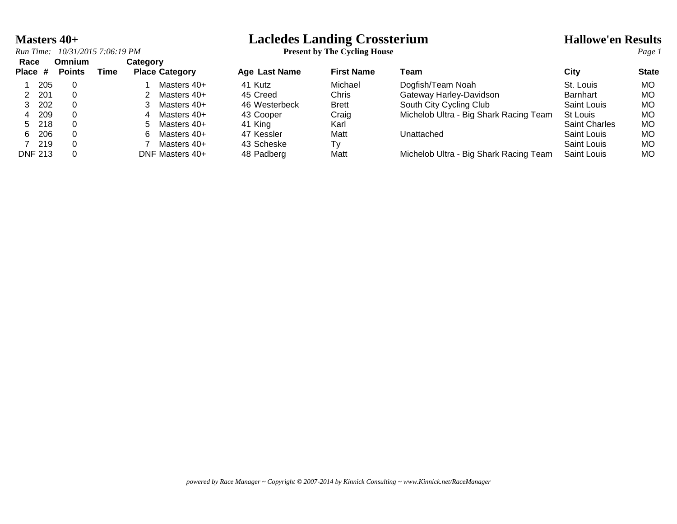## **Masters 40+ Lacledes Landing Crossterium Hallowe'en Results**

| Run Time:       | 10/31/2015 7:06:19 PM          |      |          |                       | <b>Present by The Cycling House</b> |                   | Page 1                                 |                      |              |
|-----------------|--------------------------------|------|----------|-----------------------|-------------------------------------|-------------------|----------------------------------------|----------------------|--------------|
| Race<br>Place # | <b>Omnium</b><br><b>Points</b> | Time | Category | <b>Place Category</b> | Age Last Name                       | <b>First Name</b> | Team                                   | City                 | <b>State</b> |
| 205             | 0                              |      |          | Masters 40+           | 41 Kutz                             | Michael           | Dogfish/Team Noah                      | St. Louis            | MO.          |
| 2 201           |                                |      |          | Masters 40+           | 45 Creed                            | Chris             | Gateway Harley-Davidson                | <b>Barnhart</b>      | MO           |
| -202            | 0                              |      |          | Masters 40+           | 46 Westerbeck                       | <b>Brett</b>      | South City Cycling Club                | Saint Louis          | MO           |
| 209<br>4        |                                |      | 4        | Masters 40+           | 43 Cooper                           | Craig             | Michelob Ultra - Big Shark Racing Team | St Louis             | MO           |
| 5 218           |                                |      | 5.       | Masters 40+           | 41 King                             | Karl              |                                        | <b>Saint Charles</b> | MO.          |
| - 206<br>6.     |                                |      | 6        | Masters 40+           | 47 Kessler                          | Matt              | Unattached                             | Saint Louis          | MO           |
| 219             | 0                              |      |          | Masters 40+           | 43 Scheske                          | Tv                |                                        | Saint Louis          | MO           |
| <b>DNF 213</b>  |                                |      |          | DNF Masters 40+       | 48 Padberg                          | Matt              | Michelob Ultra - Big Shark Racing Team | <b>Saint Louis</b>   | MO           |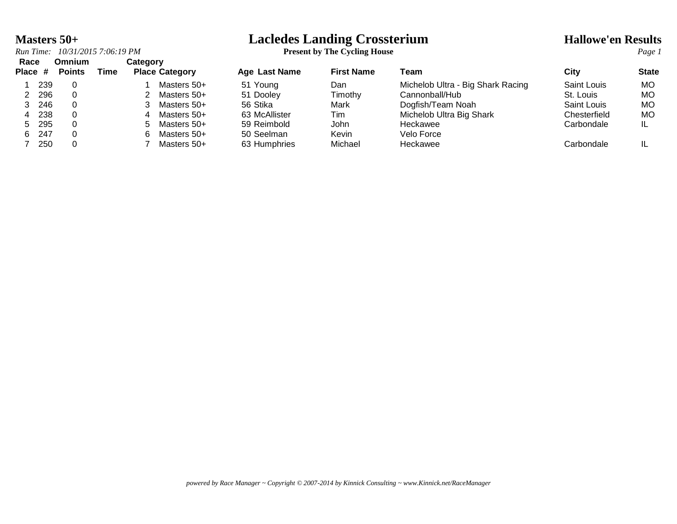# **Masters 50+**<br> *Run Time:* 10/31/2015 7:06:19 PM<br> **Lacledes Landing Crossterium**<br> **Present by The Cycling House**

| Race<br>Place # |      | <b>Omnium</b><br><b>Points</b> | Time | Category | <b>Place Category</b> | <b>Age Last Name</b> | <b>First Name</b> | Team                              | City         | <b>State</b> |
|-----------------|------|--------------------------------|------|----------|-----------------------|----------------------|-------------------|-----------------------------------|--------------|--------------|
|                 | 239  |                                |      |          | Masters 50+           | 51 Young             | Dan               | Michelob Ultra - Big Shark Racing | Saint Louis  | МO           |
|                 | 296  |                                |      |          | Masters 50+           | 51 Dooley            | Timothy           | Cannonball/Hub                    | St. Louis    | MO           |
|                 | 246  |                                |      |          | Masters 50+           | 56 Stika             | Mark              | Dogfish/Team Noah                 | Saint Louis  | МO           |
| 4               | 238  |                                |      |          | Masters 50+           | 63 McAllister        | Tim               | Michelob Ultra Big Shark          | Chesterfield | MO           |
| 5.              | -295 |                                |      | 5.       | Masters 50+           | 59 Reimbold          | John              | Heckawee                          | Carbondale   |              |
| 6.              | 247  |                                |      |          | Masters 50+           | 50 Seelman           | Kevin             | Velo Force                        |              |              |
|                 | 250  |                                |      |          | Masters 50+           | 63 Humphries         | Michael           | Heckawee                          | Carbondale   |              |

## *Run Time:*  $10/31/2015$  7:06:19 *PM*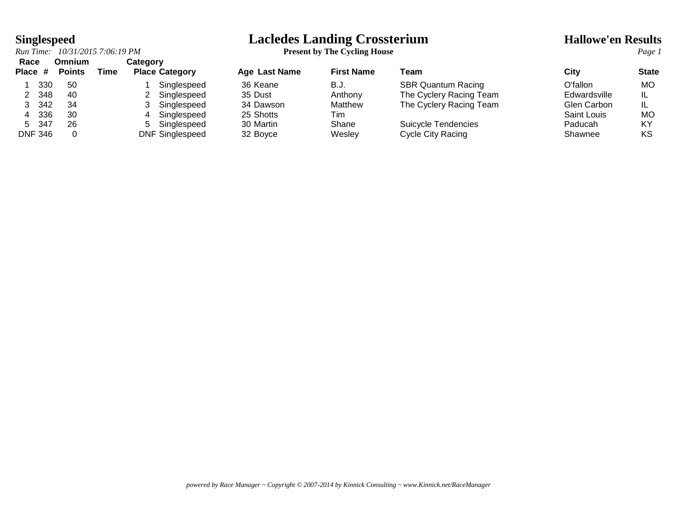## *Run Time:*  $10/31/2015$  7:06:19 *PM*

| Race    |                 | Omnium |             | Category |                       |
|---------|-----------------|--------|-------------|----------|-----------------------|
| Place # |                 | Points | <b>Time</b> |          | <b>Place Category</b> |
|         | 330             | 50     |             |          | Singlespeed           |
| 2       | 348             | 40     |             |          | 2 Singlespeed         |
| 3       | 342             | 34     |             |          | 3 Singlespeed         |
| 4       | 336             | 30     |             | 4        | Singlespeed           |
| 5       | 347             | 26     |             | 5        | Singlespeed           |
|         | $\sim$ . $\sim$ | $\sim$ |             |          |                       |

# **Singlespeed**<br> **Lacledes Landing Crossterium**<br> **Present by The Cycling House**<br> **Present by The Cycling House**

| nauc           |     | ummum         |      | Galegoi y                    |               |                   |                           |              |              |
|----------------|-----|---------------|------|------------------------------|---------------|-------------------|---------------------------|--------------|--------------|
| Place #        |     | <b>Points</b> | Time | <b>Place Category</b>        | Age Last Name | <b>First Name</b> | Team                      | City         | <b>State</b> |
|                | 330 | 50            |      | Singlespeed                  | 36 Keane      | B.J.              | <b>SBR Quantum Racing</b> | O'fallon     | MО           |
| 2              | 348 | -40           |      | Singlespeed                  | 35 Dust       | Anthony           | The Cyclery Racing Team   | Edwardsville |              |
|                | 342 | 34            |      | Singlespeed                  | 34 Dawson     | Matthew           | The Cyclery Racing Team   | Glen Carbon  |              |
|                | 336 | 30            |      | Singlespeed                  | 25 Shotts     | l im              |                           | Saint Louis  | MO           |
| 5 347          |     | 26            |      | Singlespeed<br>$\mathcal{L}$ | 30 Martin     | Shane             | Suicycle Tendencies       | Paducah      | ΚY           |
| <b>DNF 346</b> |     |               |      | <b>DNF Singlespeed</b>       | 32 Boyce      | Wesley            | Cycle City Racing         | Shawnee      | ΚS           |

*powered by Race Manager ~ Copyright © 2007-2014 by Kinnick Consulting ~ www.Kinnick.net/RaceManager*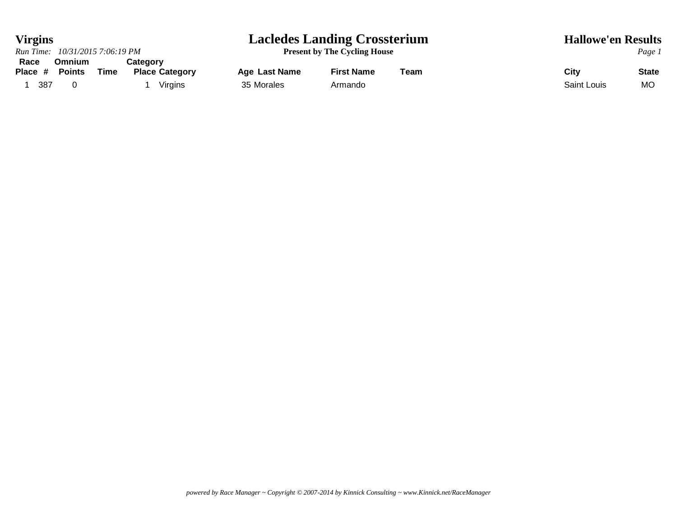## **Virgins Lacledes Landing Crossterium Hallowe'en Results**

|                 |     | Run Time: 10/31/2015 7:06:19 PM |      |                                   |               | <b>Present by The Cycling House</b> |      | Page        |             |
|-----------------|-----|---------------------------------|------|-----------------------------------|---------------|-------------------------------------|------|-------------|-------------|
| Race<br>Place # |     | Omnium<br><b>Points</b>         | Time | Categorv<br><b>Place Category</b> | Age Last Name | <b>First Name</b>                   | Team | City        | <b>Stat</b> |
|                 |     |                                 |      |                                   |               |                                     |      |             |             |
|                 | 387 |                                 |      | Virgins                           | 35 Morales    | Armando                             |      | Saint Louis | <b>MO</b>   |

**Present by The Cycling House** *Page 1*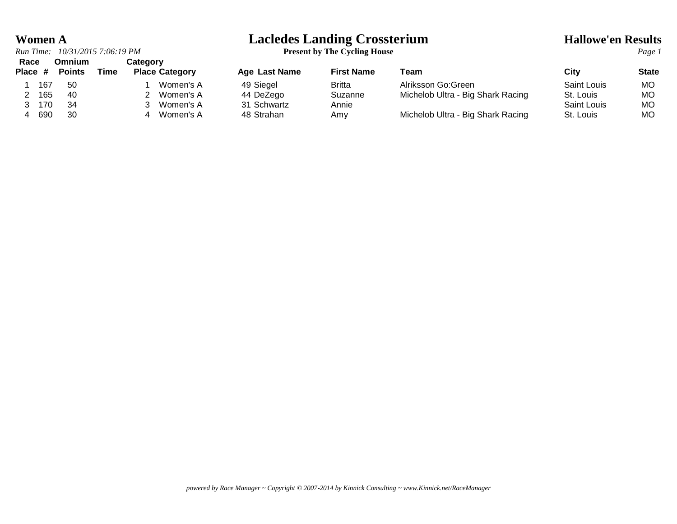*Run Time:*  $10/31/2015$  7:06:19 *PM* 

# **Women A**<br> **Lacledes Landing Crossterium**<br> **Present by The Cycling House**<br> **Present by The Cycling House**

| Race<br>Place # |     | Omnium<br><b>Points</b> | Time | Category<br><b>Place Category</b> | <b>Age Last Name</b> | <b>First Name</b> | Team                              | City        | State |
|-----------------|-----|-------------------------|------|-----------------------------------|----------------------|-------------------|-----------------------------------|-------------|-------|
|                 | 167 | -50                     |      | Women's A                         | 49 Siegel            | <b>Britta</b>     | Alriksson Go:Green                | Saint Louis | MO.   |
|                 | 165 | 40                      |      | Women's A                         | 44 DeZego            | Suzanne           | Michelob Ultra - Big Shark Racing | St. Louis   | MO.   |
|                 | 170 | 34                      |      | Women's A                         | 31 Schwartz          | Annie             |                                   | Saint Louis | МO    |
|                 | 690 | 30                      |      | Women's A                         | 48 Strahan           | Amv               | Michelob Ultra - Big Shark Racing | St. Louis   | MO    |